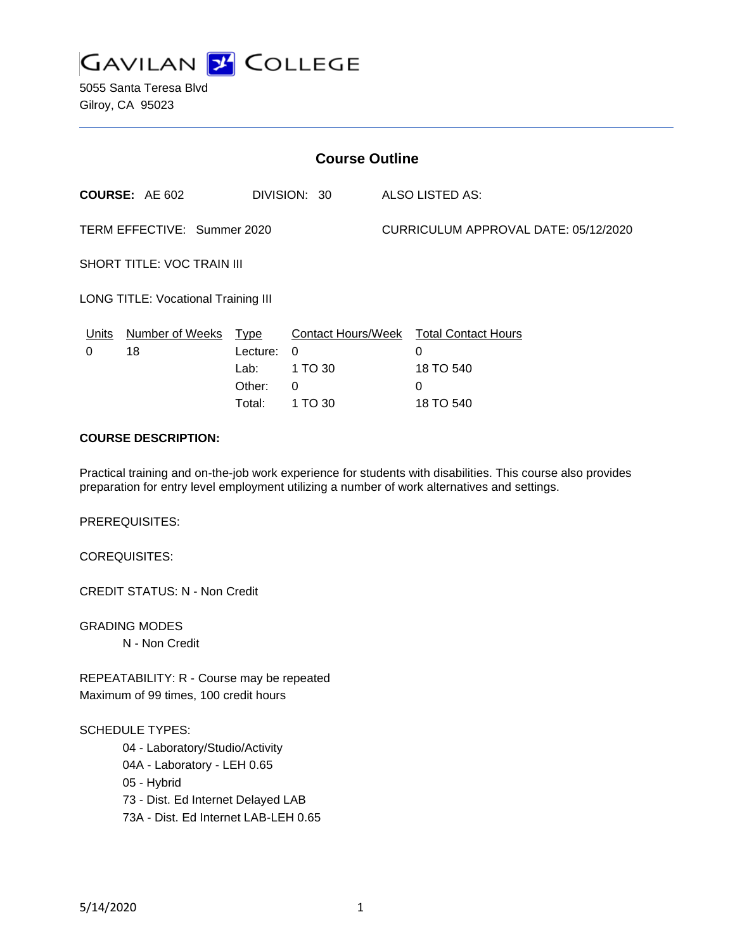

5055 Santa Teresa Blvd Gilroy, CA 95023

| <b>Course Outline</b>                      |                       |             |              |  |                                        |  |
|--------------------------------------------|-----------------------|-------------|--------------|--|----------------------------------------|--|
|                                            | <b>COURSE: AE 602</b> |             | DIVISION: 30 |  | ALSO LISTED AS:                        |  |
| TERM EFFECTIVE: Summer 2020                |                       |             |              |  | CURRICULUM APPROVAL DATE: 05/12/2020   |  |
| <b>SHORT TITLE: VOC TRAIN III</b>          |                       |             |              |  |                                        |  |
| <b>LONG TITLE: Vocational Training III</b> |                       |             |              |  |                                        |  |
| Units                                      | Number of Weeks       | <u>Type</u> |              |  | Contact Hours/Week Total Contact Hours |  |
| 0                                          | 18                    | Lecture:    | $\Omega$     |  | 0                                      |  |
|                                            |                       | Lab:        | 1 TO 30      |  | 18 TO 540                              |  |
|                                            |                       | Other:      | 0            |  | 0                                      |  |
|                                            |                       | Total:      | 1 TO 30      |  | 18 TO 540                              |  |

# **COURSE DESCRIPTION:**

Practical training and on-the-job work experience for students with disabilities. This course also provides preparation for entry level employment utilizing a number of work alternatives and settings.

PREREQUISITES:

COREQUISITES:

CREDIT STATUS: N - Non Credit

GRADING MODES N - Non Credit

REPEATABILITY: R - Course may be repeated Maximum of 99 times, 100 credit hours

#### SCHEDULE TYPES:

04 - Laboratory/Studio/Activity 04A - Laboratory - LEH 0.65 05 - Hybrid 73 - Dist. Ed Internet Delayed LAB 73A - Dist. Ed Internet LAB-LEH 0.65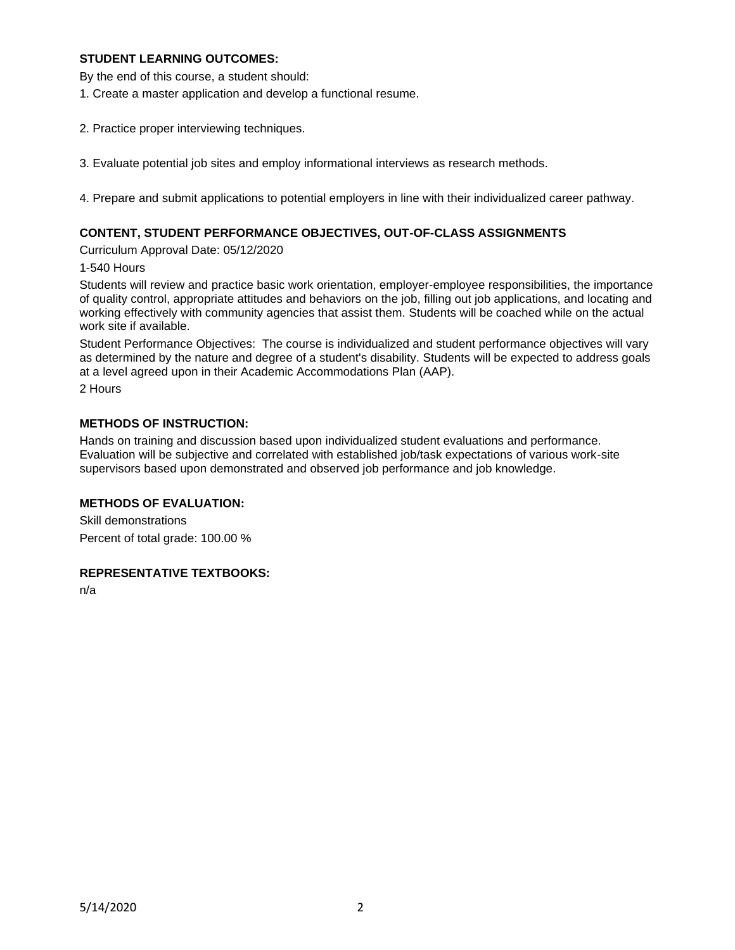### **STUDENT LEARNING OUTCOMES:**

By the end of this course, a student should:

- 1. Create a master application and develop a functional resume.
- 2. Practice proper interviewing techniques.
- 3. Evaluate potential job sites and employ informational interviews as research methods.

4. Prepare and submit applications to potential employers in line with their individualized career pathway.

### **CONTENT, STUDENT PERFORMANCE OBJECTIVES, OUT-OF-CLASS ASSIGNMENTS**

Curriculum Approval Date: 05/12/2020

#### 1-540 Hours

Students will review and practice basic work orientation, employer-employee responsibilities, the importance of quality control, appropriate attitudes and behaviors on the job, filling out job applications, and locating and working effectively with community agencies that assist them. Students will be coached while on the actual work site if available.

Student Performance Objectives: The course is individualized and student performance objectives will vary as determined by the nature and degree of a student's disability. Students will be expected to address goals at a level agreed upon in their Academic Accommodations Plan (AAP).

2 Hours

# **METHODS OF INSTRUCTION:**

Hands on training and discussion based upon individualized student evaluations and performance. Evaluation will be subjective and correlated with established job/task expectations of various work-site supervisors based upon demonstrated and observed job performance and job knowledge.

### **METHODS OF EVALUATION:**

Skill demonstrations Percent of total grade: 100.00 %

# **REPRESENTATIVE TEXTBOOKS:**

n/a